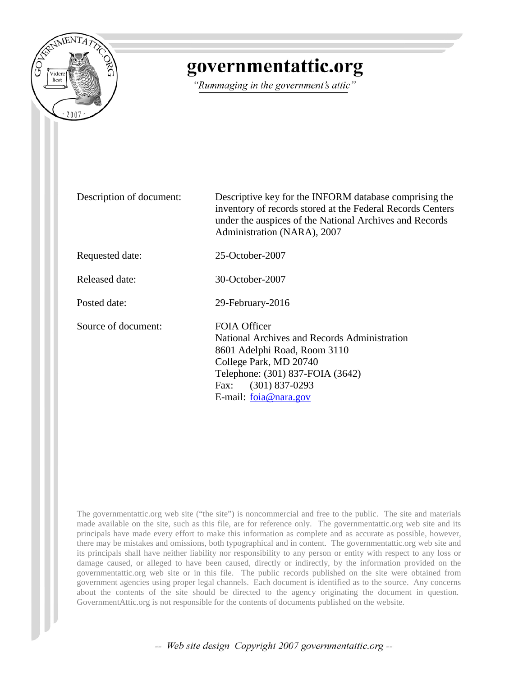

## governmentattic.org

"Rummaging in the government's attic"

Description of document: Descriptive key for the INFORM database comprising the inventory of records stored at the Federal Records Centers under the auspices of the National Archives and Records Administration (NARA), 2007 Requested date: 25-October-2007 Released date: 30-October-2007 Posted date: 29-February-2016 Source of document: FOIA Officer National Archives and Records Administration 8601 Adelphi Road, Room 3110 College Park, MD 20740 Telephone: (301) 837-FOIA (3642) Fax: (301) 837-0293 E-mail: [foia@nara.gov](mailto:foia@nara.gov?subject=FOIA%20Request)

The governmentattic.org web site ("the site") is noncommercial and free to the public. The site and materials made available on the site, such as this file, are for reference only. The governmentattic.org web site and its principals have made every effort to make this information as complete and as accurate as possible, however, there may be mistakes and omissions, both typographical and in content. The governmentattic.org web site and its principals shall have neither liability nor responsibility to any person or entity with respect to any loss or damage caused, or alleged to have been caused, directly or indirectly, by the information provided on the governmentattic.org web site or in this file. The public records published on the site were obtained from government agencies using proper legal channels. Each document is identified as to the source. Any concerns about the contents of the site should be directed to the agency originating the document in question. GovernmentAttic.org is not responsible for the contents of documents published on the website.

-- Web site design Copyright 2007 governmentattic.org --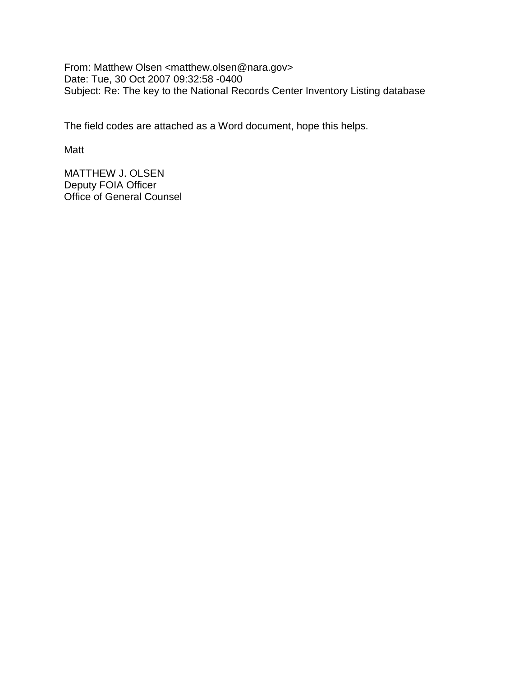From: Matthew Olsen <matthew.olsen@nara.gov> Date: Tue, 30 Oct 2007 09:32:58 -0400 Subject: Re: The key to the National Records Center Inventory Listing database

The field codes are attached as a Word document, hope this helps.

Matt

MATTHEW J. OLSEN Deputy FOIA Officer Office of General Counsel